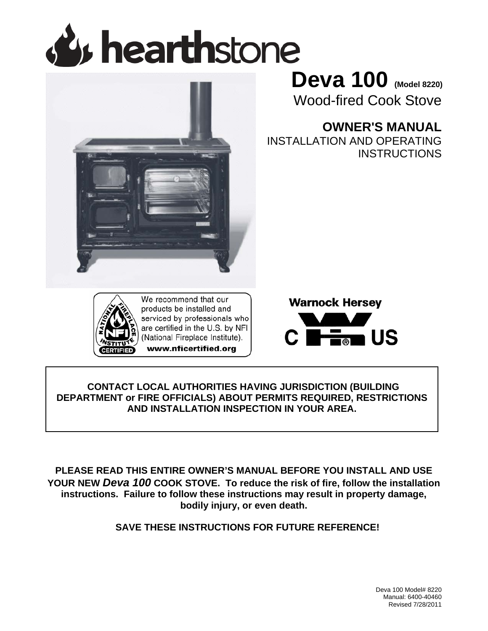# $\mathbf{\mathcal{L}}$  hearthstone



**Deva 100 (Model 8220)**

Wood-fired Cook Stove

# **OWNER'S MANUAL**

INSTALLATION AND OPERATING **INSTRUCTIONS** 



We recommend that our products be installed and serviced by professionals who are certified in the U.S. by NFI (National Fireplace Institute). www.nficertified.org



# **CONTACT LOCAL AUTHORITIES HAVING JURISDICTION (BUILDING DEPARTMENT or FIRE OFFICIALS) ABOUT PERMITS REQUIRED, RESTRICTIONS AND INSTALLATION INSPECTION IN YOUR AREA.**

**PLEASE READ THIS ENTIRE OWNER'S MANUAL BEFORE YOU INSTALL AND USE YOUR NEW** *Deva 100* **COOK STOVE. To reduce the risk of fire, follow the installation instructions. Failure to follow these instructions may result in property damage, bodily injury, or even death.** 

**SAVE THESE INSTRUCTIONS FOR FUTURE REFERENCE!**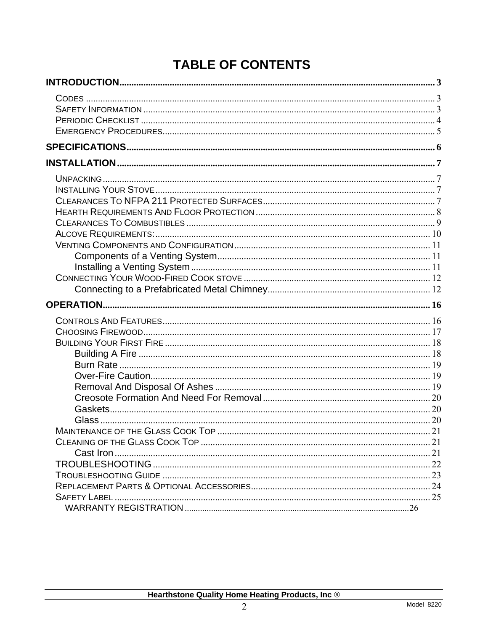# **TABLE OF CONTENTS**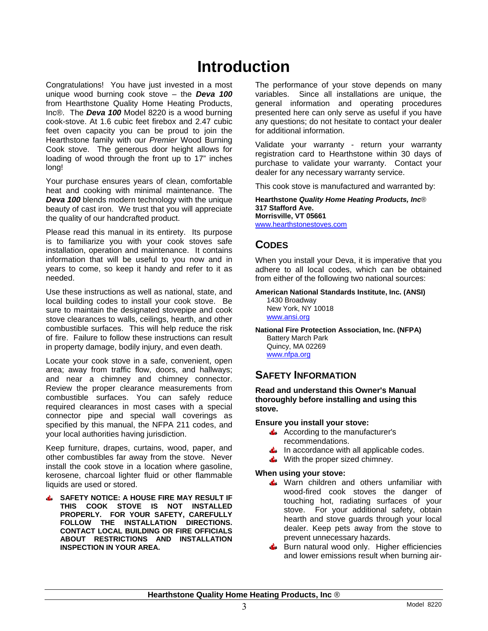# **Introduction**

<span id="page-2-0"></span>Congratulations! You have just invested in a most unique wood burning cook stove – the *Deva 100* from Hearthstone Quality Home Heating Products, Inc®. The *Deva 100* Model 8220 is a wood burning cook-stove. At 1.6 cubic feet firebox and 2.47 cubic feet oven capacity you can be proud to join the Hearthstone family with our *Premier* Wood Burning Cook stove. The generous door height allows for loading of wood through the front up to 17" inches long!

Your purchase ensures years of clean, comfortable heat and cooking with minimal maintenance. The *Deva 100* blends modern technology with the unique beauty of cast iron. We trust that you will appreciate the quality of our handcrafted product.

<span id="page-2-1"></span>Please read this manual in its entirety. Its purpose is to familiarize you with your cook stoves safe installation, operation and maintenance. It contains information that will be useful to you now and in years to come, so keep it handy and refer to it as needed.

Use these instructions as well as national, state, and local building codes to install your cook stove. Be sure to maintain the designated stovepipe and cook stove clearances to walls, ceilings, hearth, and other combustible surfaces. This will help reduce the risk of fire. Failure to follow these instructions can result in property damage, bodily injury, and even death.

<span id="page-2-2"></span>Locate your cook stove in a safe, convenient, open area; away from traffic flow, doors, and hallways; and near a chimney and chimney connector. Review the proper clearance measurements from combustible surfaces. You can safely reduce required clearances in most cases with a special connector pipe and special wall coverings as specified by this manual, the NFPA 211 codes, and your local authorities having jurisdiction.

Keep furniture, drapes, curtains, wood, paper, and other combustibles far away from the stove. Never install the cook stove in a location where gasoline, kerosene, charcoal lighter fluid or other flammable liquids are used or stored.

**SAFETY NOTICE: A HOUSE FIRE MAY RESULT IF THIS COOK STOVE IS NOT INSTALLED PROPERLY. FOR YOUR SAFETY, CAREFULLY FOLLOW THE INSTALLATION DIRECTIONS. CONTACT LOCAL BUILDING OR FIRE OFFICIALS ABOUT RESTRICTIONS AND INSTALLATION INSPECTION IN YOUR AREA.** 

The performance of your stove depends on many variables. Since all installations are unique, the general information and operating procedures presented here can only serve as useful if you have any questions; do not hesitate to contact your dealer for additional information.

Validate your warranty - return your warranty registration card to Hearthstone within 30 days of purchase to validate your warranty. Contact your dealer for any necessary warranty service.

This cook stove is manufactured and warranted by:

**Hearthstone** *Quality Home Heating Products, Inc*® **317 Stafford Ave. Morrisville, VT 05661** 

[www.hearthstonestoves.com](http://www.hearthstonestoves.com/)

# **CODES**

When you install your Deva, it is imperative that you adhere to all local codes, which can be obtained from either of the following two national sources:

**American National Standards Institute, Inc. (ANSI)** 

1430 Broadway New York, NY 10018 [www.ansi.org](http://www.ansi.org/) 

**National Fire Protection Association, Inc. (NFPA)**  Battery March Park Quincy, MA 02269 [www.nfpa.org](http://www.nfpa.org/) 

## **SAFETY INFORMATION**

**Read and understand this Owner's Manual thoroughly before installing and using this stove.** 

#### **Ensure you install your stove:**

- $\triangle$  According to the manufacturer's recommendations.
- In accordance with all applicable codes.
- $\triangle$  With the proper sized chimney.

#### **When using your stove:**

- Warn children and others unfamiliar with wood-fired cook stoves the danger of touching hot, radiating surfaces of your stove. For your additional safety, obtain hearth and stove guards through your local dealer. Keep pets away from the stove to prevent unnecessary hazards.
- Burn natural wood only. Higher efficiencies and lower emissions result when burning air-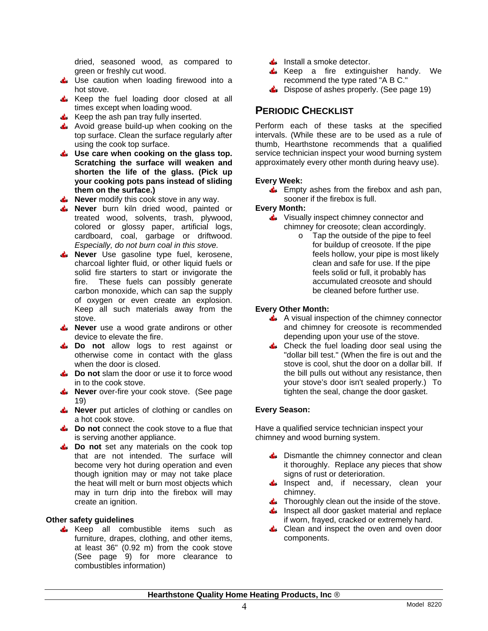dried, seasoned wood, as compared to green or freshly cut wood.

- $\triangle$  Use caution when loading firewood into a hot stove.
- Keep the fuel loading door closed at all times except when loading wood.
- <span id="page-3-0"></span>Keep the ash pan tray fully inserted.
- Avoid grease build-up when cooking on the top surface. Clean the surface regularly after using the cook top surface.
- **Use care when cooking on the glass top. Scratching the surface will weaken and shorten the life of the glass. (Pick up your cooking pots pans instead of sliding them on the surface.)**
- **Never** modify this cook stove in any way.
- **Never** burn kiln dried wood, painted or treated wood, solvents, trash, plywood, colored or glossy paper, artificial logs, cardboard, coal, garbage or driftwood. *Especially, do not burn coal in this stove.*
- **Never** Use gasoline type fuel, kerosene, charcoal lighter fluid, or other liquid fuels or solid fire starters to start or invigorate the fire. These fuels can possibly generate carbon monoxide, which can sap the supply of oxygen or even create an explosion. Keep all such materials away from the stove.
- **Never** use a wood grate andirons or other device to elevate the fire.
- **Do not** allow logs to rest against or otherwise come in contact with the glass when the door is closed.
- **Do not** slam the door or use it to force wood in to the cook stove.
- **Never** over-fire your cook stove. (See page [19\)](#page-18-1)
- **Never** but articles of clothing or candles on a hot cook stove.
- **Do not** connect the cook stove to a flue that is serving another appliance.
- **Do not** set any materials on the cook top that are not intended. The surface will become very hot during operation and even though ignition may or may not take place the heat will melt or burn most objects which may in turn drip into the firebox will may create an ignition.

#### **Other safety guidelines**

Keep all combustible items such as furniture, drapes, clothing, and other items, at least 36" (0.92 m) from the cook stove (See page [9](#page-7-1)) for more clearance to combustibles information)

- **A** Install a smoke detector.
- Keep a fire extinguisher handy. We recommend the type rated "A B C."
- $\bullet$  Dispose of ashes properly. (See page [19\)](#page-18-2)

# **PERIODIC CHECKLIST**

Perform each of these tasks at the specified intervals. (While these are to be used as a rule of thumb, Hearthstone recommends that a qualified service technician inspect your wood burning system approximately every other month during heavy use).

#### **Every Week:**

 $\triangle$  Empty ashes from the firebox and ash pan, sooner if the firebox is full.

#### **Every Month:**

- $\triangle$  Visually inspect chimney connector and chimney for creosote; clean accordingly.
	- o Tap the outside of the pipe to feel for buildup of creosote. If the pipe feels hollow, your pipe is most likely clean and safe for use. If the pipe feels solid or full, it probably has accumulated creosote and should be cleaned before further use.

#### **Every Other Month:**

- $\triangle$  A visual inspection of the chimney connector and chimney for creosote is recommended depending upon your use of the stove.
- Check the fuel loading door seal using the منابع "dollar bill test." (When the fire is out and the stove is cool, shut the door on a dollar bill. If the bill pulls out without any resistance, then your stove's door isn't sealed properly.) To tighten the seal, change the door gasket.

#### **Every Season:**

Have a qualified service technician inspect your chimney and wood burning system.

- $\triangle$  Dismantle the chimney connector and clean it thoroughly. Replace any pieces that show signs of rust or deterioration.
- Inspect and, if necessary, clean your chimney.
- **Thoroughly clean out the inside of the stove.**
- Inspect all door gasket material and replace if worn, frayed, cracked or extremely hard.
- Clean and inspect the oven and oven door components.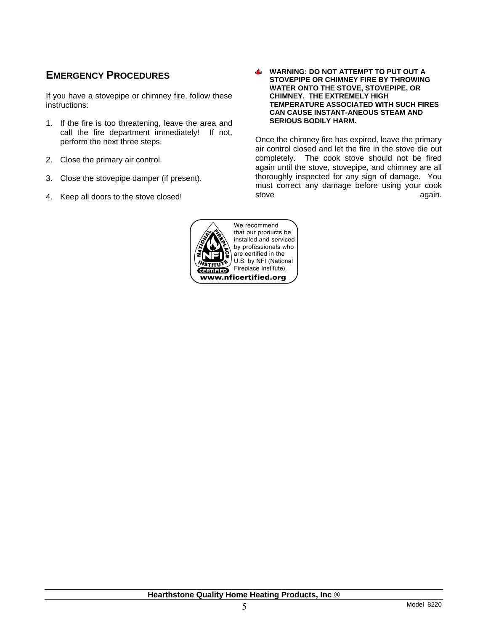If you have a stovepipe or chimney fire, follow these instructions:

- 1. If the fire is too threatening, leave the area and call the fire department immediately! If not,
- 2. Close the primary air control.
- 3. Close the stovepipe damper (if present).
- 4. Keep all doors to the stove closed!

<span id="page-4-0"></span>**EMERGENCY PROCEDURES WARNING: DO NOT ATTEMPT TO PUT OUT A STOVEPIPE OR CHIMNEY FIRE BY THROWING WATER ONTO THE STOVE, STOVEPIPE, OR CHIMNEY. THE EXTREMELY HIGH TEMPERATURE ASSOCIATED WITH SUCH FIRES CAN CAUSE INSTANT-ANEOUS STEAM AND SERIOUS BODILY HARM.** 

perform the next three steps. The next is sensible perform the next three steps. air control closed and let the fire in the stove die out completely. The cook stove should not be fired again until the stove, stovepipe, and chimney are all thoroughly inspected for any sign of damage. You must correct any damage before using your cook stove again.

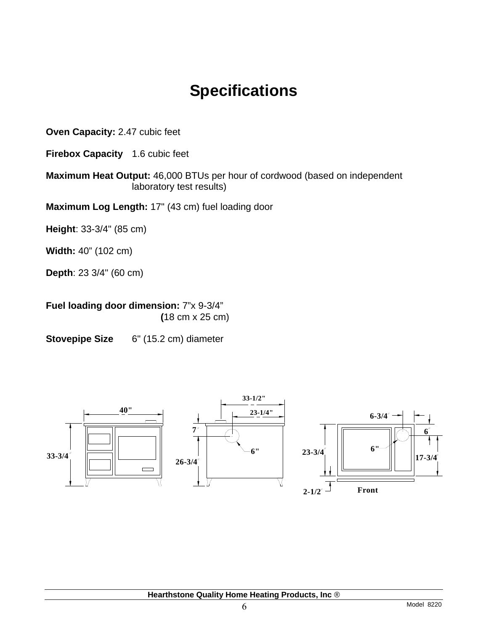# **Specifications**

<span id="page-5-0"></span>**Oven Capacity:** 2.47 cubic feet

**Firebox Capacity** 1.6 cubic feet

**Maximum Heat Output:** 46,000 BTUs per hour of cordwood (based on independent laboratory test results)

**Maximum Log Length:** 17" (43 cm) fuel loading door

**Height**: 33-3/4" (85 cm)

**Width:** 40" (102 cm)

**Depth**: 23 3/4" (60 cm)

## **Fuel loading door dimension:** 7"x 9-3/4"  **(**18 cm x 25 cm)

**Stovepipe Size** 6" (15.2 cm) diameter

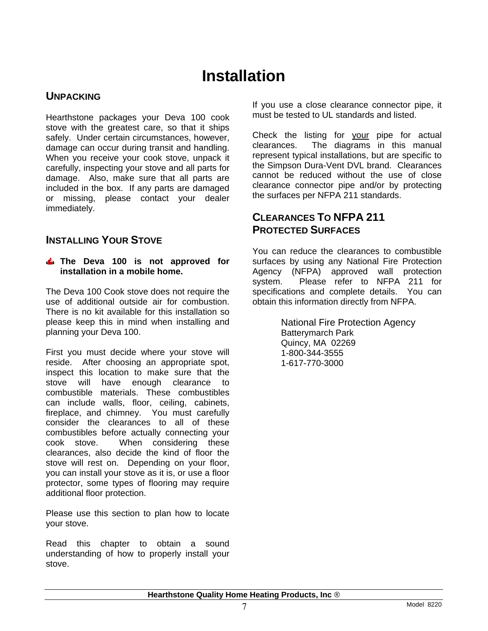# **Installation**

# <span id="page-6-1"></span><span id="page-6-0"></span>**UNPACKING**

Hearthstone packages your Deva 100 cook stove with the greatest care, so that it ships safely. Under certain circumstances, however, damage can occur during transit and handling. When you receive your cook stove, unpack it carefully, inspecting your stove and all parts for damage. Also, make sure that all parts are included in the box. If any parts are damaged or missing, please contact your dealer immediately.

# <span id="page-6-3"></span><span id="page-6-2"></span>**INSTALLING YOUR STOVE**

#### **The Deva 100 is not approved for installation in a mobile home.**

The Deva 100 Cook stove does not require the use of additional outside air for combustion. There is no kit available for this installation so please keep this in mind when installing and planning your Deva 100.

First you must decide where your stove will reside. After choosing an appropriate spot, inspect this location to make sure that the stove will have enough clearance to combustible materials. These combustibles can include walls, floor, ceiling, cabinets, fireplace, and chimney. You must carefully consider the clearances to all of these combustibles before actually connecting your cook stove. When considering these clearances, also decide the kind of floor the stove will rest on. Depending on your floor, you can install your stove as it is, or use a floor protector, some types of flooring may require additional floor protection.

Please use this section to plan how to locate your stove.

Read this chapter to obtain a sound understanding of how to properly install your stove.

If you use a close clearance connector pipe, it must be tested to UL standards and listed.

Check the listing for your pipe for actual clearances. The diagrams in this manual represent typical installations, but are specific to the Simpson Dura-Vent DVL brand. Clearances cannot be reduced without the use of close clearance connector pipe and/or by protecting the surfaces per NFPA 211 standards.

# **CLEARANCES TO NFPA 211 PROTECTED SURFACES**

You can reduce the clearances to combustible surfaces by using any National Fire Protection Agency (NFPA) approved wall protection system. Please refer to NFPA 211 for specifications and complete details. You can obtain this information directly from NFPA.

> National Fire Protection Agency Batterymarch Park Quincy, MA 02269 1-800-344-3555 1-617-770-3000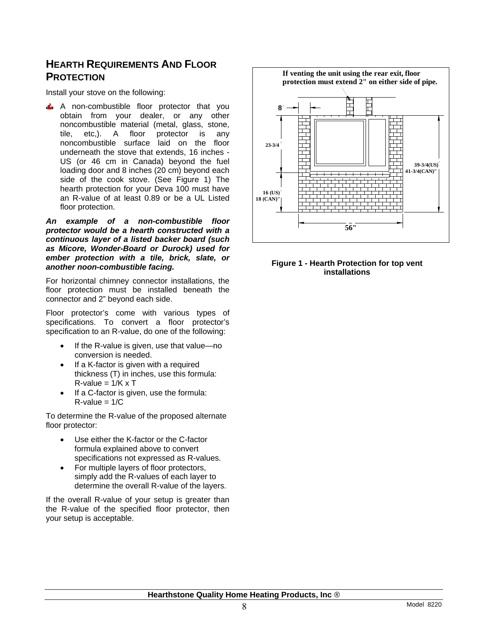# <span id="page-7-0"></span>**HEARTH REQUIREMENTS AND FLOOR PROTECTION**

Install your stove on the following:

 $\triangle$  A non-combustible floor protector that you obtain from your dealer, or any other noncombustible material (metal, glass, stone, tile, etc,). A floor protector is any noncombustible surface laid on the floor underneath the stove that extends, 16 inches - US (or 46 cm in Canada) beyond the fuel loading door and 8 inches (20 cm) beyond each side of the cook stove. (See Figure 1) The hearth protection for your Deva 100 must have an R-value of at least 0.89 or be a UL Listed floor protection.

*An example of a non-combustible floor protector would be a hearth constructed with a continuous layer of a listed backer board (such as Micore, Wonder-Board or Durock) used for ember protection with a tile, brick, slate, or another noon-combustible facing.*

For horizontal chimney connector installations, the floor protection must be installed beneath the connector and 2" beyond each side.

<span id="page-7-1"></span>Floor protector's come with various types of specifications. To convert a floor protector's specification to an R-value, do one of the following:

- If the R-value is given, use that value—no conversion is needed.
- If a K-factor is given with a required thickness (T) in inches, use this formula:  $R$ -value =  $1/K \times T$
- If a C-factor is given, use the formula:  $R$ -value =  $1/C$

To determine the R-value of the proposed alternate floor protector:

- Use either the K-factor or the C-factor formula explained above to convert specifications not expressed as R-values.
- For multiple layers of floor protectors, simply add the R-values of each layer to determine the overall R-value of the layers.

If the overall R-value of your setup is greater than the R-value of the specified floor protector, then your setup is acceptable.



#### **Figure 1 - Hearth Protection for top vent installations**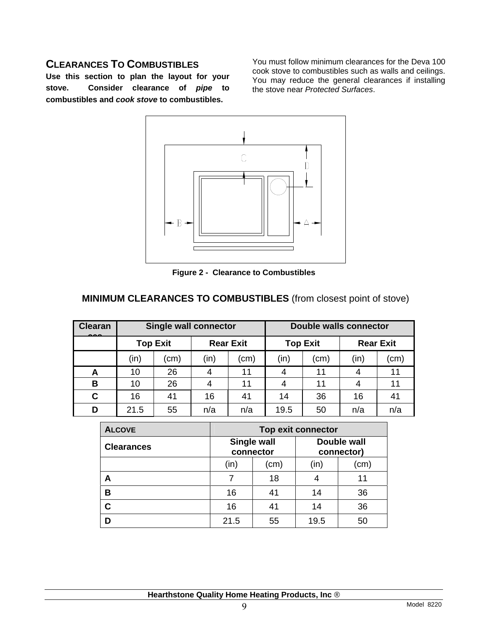**Use this section to plan the layout for your stove. Consider clearance of** *pipe* **to combustibles and** *cook stove* **to combustibles.** 

<span id="page-8-0"></span>**CLEARANCES TO COMBUSTIBLES** You must follow minimum clearances for the Deva 100 cook stove to combustibles such as walls and ceilings. You may reduce the general clearances if installing the stove near *Protected Surfaces*.



**Figure 2 - Clearance to Combustibles** 

# **MINIMUM CLEARANCES TO COMBUSTIBLES** (from closest point of stove)

| <b>Clearan</b> | Single wall connector |                 |                  | <b>Double walls connector</b> |                 |      |                  |      |
|----------------|-----------------------|-----------------|------------------|-------------------------------|-----------------|------|------------------|------|
|                |                       | <b>Top Exit</b> | <b>Rear Exit</b> |                               | <b>Top Exit</b> |      | <b>Rear Exit</b> |      |
|                | (in)                  | (cm)            | (in)             | (cm)                          | (in)            | (cm) | (in)             | (cm) |
| A              | 10                    | 26              | 4                | 11                            | 4               | 11   | 4                | 11   |
| в              | 10                    | 26              |                  | 11                            | 4               | 11   | 4                | 11   |
| C              | 16                    | 41              | 16               | 41                            | 14              | 36   | 16               | 41   |
| D              | 21.5                  | 55              | n/a              | n/a                           | 19.5            | 50   | n/a              | n/a  |

| <b>ALCOVE</b>     | <b>Top exit connector</b> |                                 |                           |      |  |
|-------------------|---------------------------|---------------------------------|---------------------------|------|--|
| <b>Clearances</b> |                           | <b>Single wall</b><br>connector | Double wall<br>connector) |      |  |
|                   | (in)                      | (cm)                            | (in)                      | (cm) |  |
| А                 | 7                         | 18                              | 4                         | 11   |  |
| В                 | 16                        | 41                              | 14                        | 36   |  |
| C                 | 16                        | 41                              | 14                        | 36   |  |
| D                 | 21.5                      | 55                              | 19.5                      | 50   |  |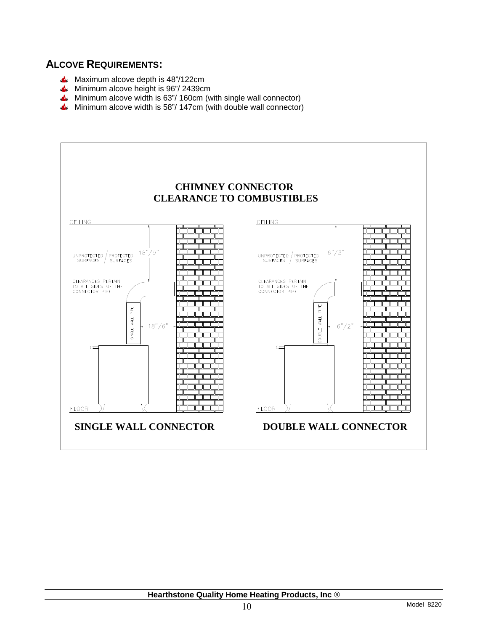# <span id="page-9-0"></span>**ALCOVE REQUIREMENTS:**

- **Maximum alcove depth is 48"/122cm**
- Minimum alcove height is 96"/ 2439cm مانی
- Minimum alcove width is 63"/ 160cm (with single wall connector)
- $\Delta$ Minimum alcove width is 58"/ 147cm (with double wall connector)

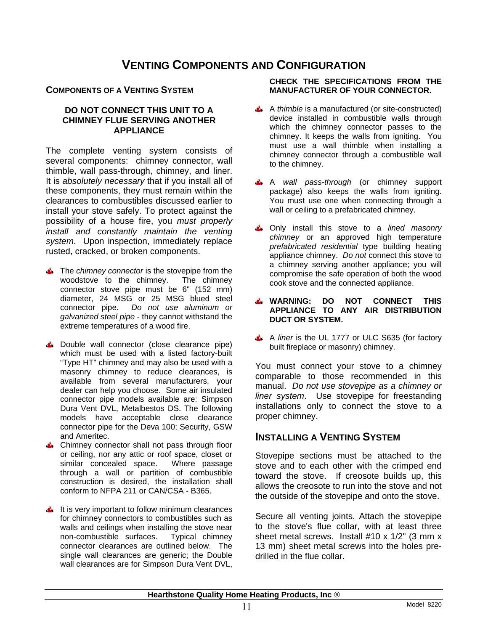# **VENTING COMPONENTS AND CONFIGURATION**

#### <span id="page-10-1"></span><span id="page-10-0"></span>**COMPONENTS OF A VENTING SYSTEM**

#### **DO NOT CONNECT THIS UNIT TO A CHIMNEY FLUE SERVING ANOTHER APPLIANCE**

The complete venting system consists of several components: chimney connector, wall thimble, wall pass-through, chimney, and liner. It is *absolutely necessary* that if you install all of these components, they must remain within the clearances to combustibles discussed earlier to install your stove safely. To protect against the possibility of a house fire, you *must properly install and constantly maintain the venting system*. Upon inspection, immediately replace rusted, cracked, or broken components.

- **The** *chimney connector* is the stovepipe from the woodstove to the chimney. The chimney connector stove pipe must be 6" (152 mm) diameter, 24 MSG or 25 MSG blued steel connector pipe. *Do not use aluminum or galvanized steel pipe* - they cannot withstand the extreme temperatures of a wood fire.
- Double wall connector (close clearance pipe) which must be used with a listed factory-built "Type HT" chimney and may also be used with a masonry chimney to reduce clearances, is available from several manufacturers, your dealer can help you choose. Some air insulated connector pipe models available are: Simpson Dura Vent DVL, Metalbestos DS. The following models have acceptable close clearance connector pipe for the Deva 100; Security, GSW and Ameritec.
- <span id="page-10-2"></span>Chimney connector shall not pass through floor or ceiling, nor any attic or roof space, closet or similar concealed space. Where passage through a wall or partition of combustible construction is desired, the installation shall conform to NFPA 211 or CAN/CSA - B365.
- It is very important to follow minimum clearances for chimney connectors to combustibles such as walls and ceilings when installing the stove near non-combustible surfaces. Typical chimney connector clearances are outlined below. The single wall clearances are generic; the Double wall clearances are for Simpson Dura Vent DVL,

#### **CHECK THE SPECIFICATIONS FROM THE MANUFACTURER OF YOUR CONNECTOR.**

- A *thimble* is a manufactured (or site-constructed) device installed in combustible walls through which the chimney connector passes to the chimney. It keeps the walls from igniting. You must use a wall thimble when installing a chimney connector through a combustible wall to the chimney.
- A *wall pass-through* (or chimney support package) also keeps the walls from igniting. You must use one when connecting through a wall or ceiling to a prefabricated chimney.
- Only install this stove to a *lined masonry chimney* or an approved high temperature *prefabricated residential* type building heating appliance chimney. *Do not* connect this stove to a chimney serving another appliance; you will compromise the safe operation of both the wood cook stove and the connected appliance.
- **WARNING: DO NOT CONNECT THIS APPLIANCE TO ANY AIR DISTRIBUTION DUCT OR SYSTEM.**
- A *liner* is the UL 1777 or ULC S635 (for factory built fireplace or masonry) chimney.

You must connect your stove to a chimney comparable to those recommended in this manual. *Do not use stovepipe as a chimney or liner system*. Use stovepipe for freestanding installations only to connect the stove to a proper chimney.

# **INSTALLING A VENTING SYSTEM**

Stovepipe sections must be attached to the stove and to each other with the crimped end toward the stove. If creosote builds up, this allows the creosote to run into the stove and not the outside of the stovepipe and onto the stove.

Secure all venting joints. Attach the stovepipe to the stove's flue collar, with at least three sheet metal screws. Install #10 x 1/2" (3 mm x 13 mm) sheet metal screws into the holes predrilled in the flue collar.

#### **Hearthstone Quality Home Heating Products, Inc** ®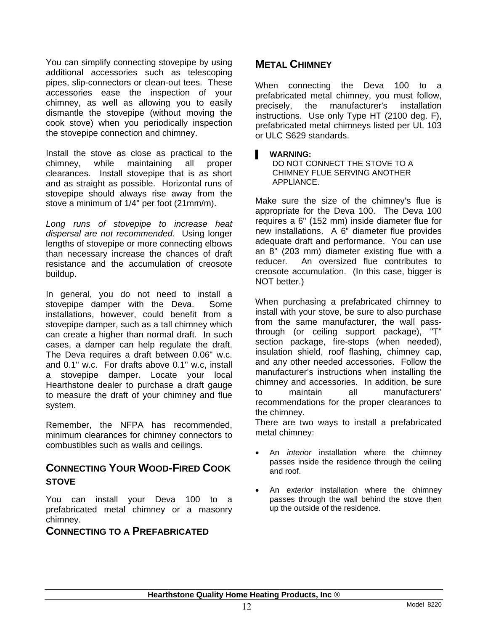You can simplify connecting stovepipe by using additional accessories such as telescoping pipes, slip-connectors or clean-out tees. These accessories ease the inspection of your chimney, as well as allowing you to easily dismantle the stovepipe (without moving the cook stove) when you periodically inspection the stovepipe connection and chimney.

Install the stove as close as practical to the chimney, while maintaining all proper clearances. Install stovepipe that is as short and as straight as possible. Horizontal runs of stovepipe should always rise away from the stove a minimum of 1/4" per foot (21mm/m).

*Long runs of stovepipe to increase heat dispersal are not recommended*. Using longer lengths of stovepipe or more connecting elbows than necessary increase the chances of draft resistance and the accumulation of creosote buildup.

In general, you do not need to install a stovepipe damper with the Deva. Some installations, however, could benefit from a stovepipe damper, such as a tall chimney which can create a higher than normal draft. In such cases, a damper can help regulate the draft. The Deva requires a draft between 0.06" w.c. and 0.1" w.c. For drafts above 0.1" w.c, install a stovepipe damper. Locate your local Hearthstone dealer to purchase a draft gauge to measure the draft of your chimney and flue system.

Remember, the NFPA has recommended, minimum clearances for chimney connectors to combustibles such as walls and ceilings.

# <span id="page-11-0"></span>**CONNECTING YOUR WOOD-FIRED COOK STOVE**

You can install your Deva 100 to a prefabricated metal chimney or a masonry chimney.

# <span id="page-11-1"></span>**CONNECTING TO A PREFABRICATED**

# **METAL CHIMNEY**

When connecting the Deva 100 to a prefabricated metal chimney, you must follow, precisely, the manufacturer's installation instructions. Use only Type HT (2100 deg. F), prefabricated metal chimneys listed per UL 103 or ULC S629 standards.

## ▌ **WARNING:**

DO NOT CONNECT THE STOVE TO A CHIMNEY FLUE SERVING ANOTHER APPLIANCE.

Make sure the size of the chimney's flue is appropriate for the Deva 100. The Deva 100 requires a 6" (152 mm) inside diameter flue for new installations. A 6" diameter flue provides adequate draft and performance. You can use an 8" (203 mm) diameter existing flue with a reducer. An oversized flue contributes to creosote accumulation. (In this case, bigger is NOT better.)

When purchasing a prefabricated chimney to install with your stove, be sure to also purchase from the same manufacturer, the wall passthrough (or ceiling support package), "T" section package, fire-stops (when needed), insulation shield, roof flashing, chimney cap, and any other needed accessories. Follow the manufacturer's instructions when installing the chimney and accessories. In addition, be sure to maintain all manufacturers' recommendations for the proper clearances to the chimney.

There are two ways to install a prefabricated metal chimney:

- An *interior* installation where the chimney passes inside the residence through the ceiling and roof.
- An e*xterior* installation where the chimney passes through the wall behind the stove then up the outside of the residence.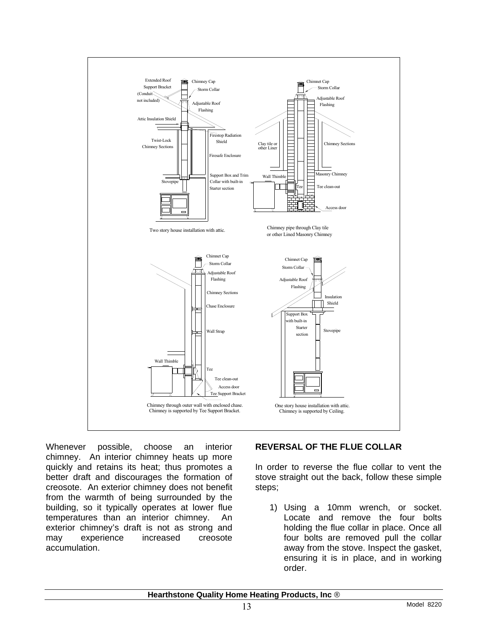

Whenever possible, choose an interior chimney. An interior chimney heats up more quickly and retains its heat; thus promotes a better draft and discourages the formation of creosote. An exterior chimney does not benefit from the warmth of being surrounded by the building, so it typically operates at lower flue temperatures than an interior chimney. An exterior chimney's draft is not as strong and may experience increased creosote accumulation.

#### **REVERSAL OF THE FLUE COLLAR**

In order to reverse the flue collar to vent the stove straight out the back, follow these simple steps;

1) Using a 10mm wrench, or socket. Locate and remove the four bolts holding the flue collar in place. Once all four bolts are removed pull the collar away from the stove. Inspect the gasket, ensuring it is in place, and in working order.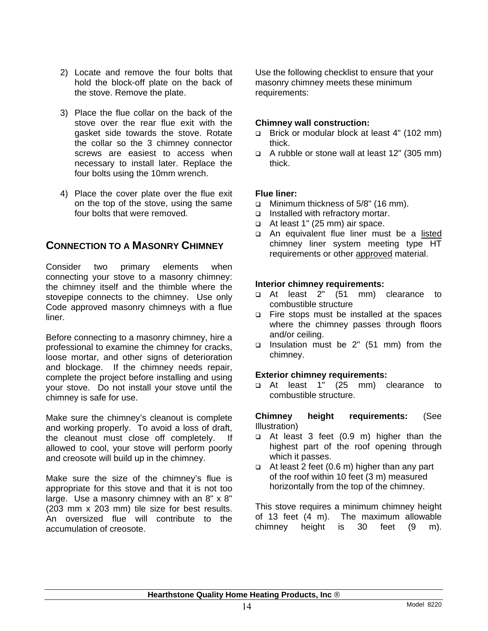- 2) Locate and remove the four bolts that hold the block-off plate on the back of the stove. Remove the plate.
- 3) Place the flue collar on the back of the stove over the rear flue exit with the gasket side towards the stove. Rotate the collar so the 3 chimney connector screws are easiest to access when necessary to install later. Replace the four bolts using the 10mm wrench.
- 4) Place the cover plate over the flue exit on the top of the stove, using the same four bolts that were removed.

# **CONNECTION TO A MASONRY CHIMNEY**

Consider two primary elements when connecting your stove to a masonry chimney: the chimney itself and the thimble where the stovepipe connects to the chimney. Use only Code approved masonry chimneys with a flue liner.

Before connecting to a masonry chimney, hire a professional to examine the chimney for cracks, loose mortar, and other signs of deterioration and blockage. If the chimney needs repair, complete the project before installing and using your stove. Do not install your stove until the chimney is safe for use.

Make sure the chimney's cleanout is complete and working properly. To avoid a loss of draft, the cleanout must close off completely. If allowed to cool, your stove will perform poorly and creosote will build up in the chimney.

Make sure the size of the chimney's flue is appropriate for this stove and that it is not too large. Use a masonry chimney with an 8" x 8" (203 mm x 203 mm) tile size for best results. An oversized flue will contribute to the accumulation of creosote.

Use the following checklist to ensure that your masonry chimney meets these minimum requirements:

#### **Chimney wall construction:**

- Brick or modular block at least 4" (102 mm) thick.
- A rubble or stone wall at least 12" (305 mm) thick.

#### **Flue liner:**

- Minimum thickness of 5/8" (16 mm).
- Installed with refractory mortar.
- At least 1" (25 mm) air space.
- An equivalent flue liner must be a listed chimney liner system meeting type HT requirements or other approved material.

#### **Interior chimney requirements:**

- At least 2" (51 mm) clearance to combustible structure
- □ Fire stops must be installed at the spaces where the chimney passes through floors and/or ceiling.
- Insulation must be 2" (51 mm) from the chimney.

#### **Exterior chimney requirements:**

 At least 1" (25 mm) clearance to combustible structure.

#### **Chimney height requirements:** (See Illustration)

- At least 3 feet (0.9 m) higher than the highest part of the roof opening through which it passes.
- At least 2 feet (0.6 m) higher than any part of the roof within 10 feet (3 m) measured horizontally from the top of the chimney.

This stove requires a minimum chimney height of 13 feet (4 m). The maximum allowable chimney height is 30 feet (9 m).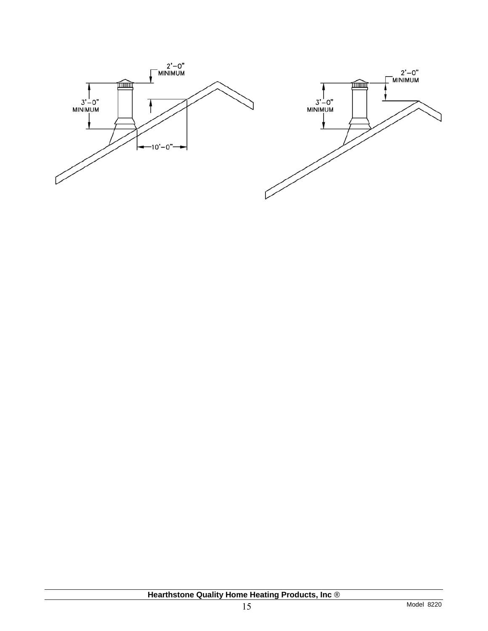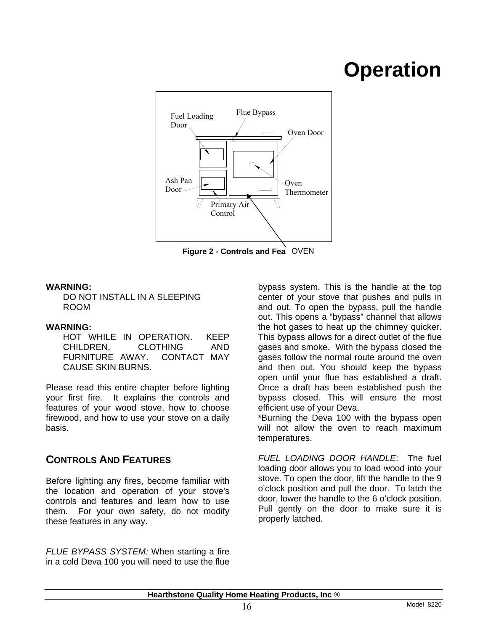# **Operation**

<span id="page-15-0"></span>

**Figure 2 - Controls and Fea** OVEN

#### **WARNING:**

DO NOT INSTALL IN A SLEEPING ROOM

#### **WARNING:**

|                          |  | HOT WHILE IN OPERATION.     | KEEP |
|--------------------------|--|-----------------------------|------|
|                          |  | CHILDREN, CLOTHING          | AND  |
|                          |  | FURNITURE AWAY. CONTACT MAY |      |
| <b>CAUSE SKIN BURNS.</b> |  |                             |      |

Please read this entire chapter before lighting your first fire. It explains the controls and features of your wood stove, how to choose firewood, and how to use your stove on a daily basis.

# <span id="page-15-1"></span>**CONTROLS AND FEATURES**

Before lighting any fires, become familiar with the location and operation of your stove's controls and features and learn how to use them. For your own safety, do not modify these features in any way.

*FLUE BYPASS SYSTEM:* When starting a fire in a cold Deva 100 you will need to use the flue

bypass system. This is the handle at the top center of your stove that pushes and pulls in and out. To open the bypass, pull the handle out. This opens a "bypass" channel that allows the hot gases to heat up the chimney quicker. This bypass allows for a direct outlet of the flue gases and smoke. With the bypass closed the gases follow the normal route around the oven and then out. You should keep the bypass open until your flue has established a draft. Once a draft has been established push the bypass closed. This will ensure the most efficient use of your Deva.

\*Burning the Deva 100 with the bypass open will not allow the oven to reach maximum temperatures.

*FUEL LOADING DOOR HANDLE*: The fuel loading door allows you to load wood into your stove. To open the door, lift the handle to the 9 o'clock position and pull the door. To latch the door, lower the handle to the 6 o'clock position. Pull gently on the door to make sure it is properly latched.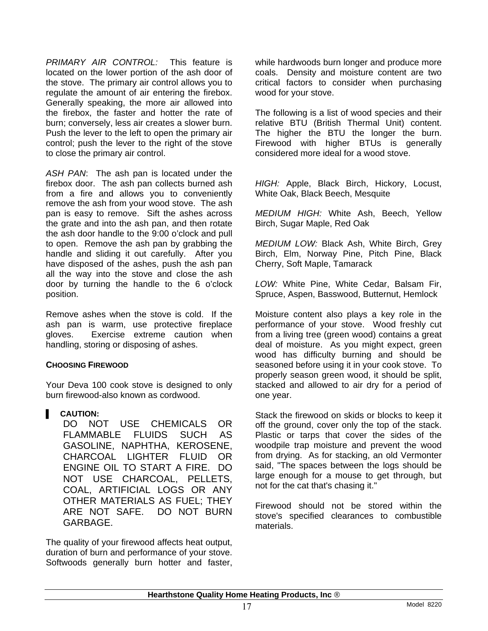*PRIMARY AIR CONTROL:* This feature is located on the lower portion of the ash door of the stove. The primary air control allows you to regulate the amount of air entering the firebox. Generally speaking, the more air allowed into the firebox, the faster and hotter the rate of burn; conversely, less air creates a slower burn. Push the lever to the left to open the primary air control; push the lever to the right of the stove to close the primary air control.

*ASH PAN*: The ash pan is located under the firebox door. The ash pan collects burned ash from a fire and allows you to conveniently remove the ash from your wood stove. The ash pan is easy to remove. Sift the ashes across the grate and into the ash pan, and then rotate the ash door handle to the 9:00 o'clock and pull to open. Remove the ash pan by grabbing the handle and sliding it out carefully. After you have disposed of the ashes, push the ash pan all the way into the stove and close the ash door by turning the handle to the 6 o'clock position.

Remove ashes when the stove is cold. If the ash pan is warm, use protective fireplace gloves. Exercise extreme caution when handling, storing or disposing of ashes.

#### <span id="page-16-0"></span>**CHOOSING FIREWOOD**

Your Deva 100 cook stove is designed to only burn firewood-also known as cordwood.

## **CAUTION:**

DO NOT USE CHEMICALS OR FLAMMABLE FLUIDS SUCH AS GASOLINE, NAPHTHA, KEROSENE, CHARCOAL LIGHTER FLUID OR ENGINE OIL TO START A FIRE. DO NOT USE CHARCOAL, PELLETS, COAL, ARTIFICIAL LOGS OR ANY OTHER MATERIALS AS FUEL; THEY ARE NOT SAFE. DO NOT BURN GARBAGE.

The quality of your firewood affects heat output, duration of burn and performance of your stove. Softwoods generally burn hotter and faster, while hardwoods burn longer and produce more coals. Density and moisture content are two critical factors to consider when purchasing wood for your stove.

The following is a list of wood species and their relative BTU (British Thermal Unit) content. The higher the BTU the longer the burn. Firewood with higher BTUs is generally considered more ideal for a wood stove.

*HIGH:* Apple, Black Birch, Hickory, Locust, White Oak, Black Beech, Mesquite

*MEDIUM HIGH:* White Ash, Beech, Yellow Birch, Sugar Maple, Red Oak

*MEDIUM LOW:* Black Ash, White Birch, Grey Birch, Elm, Norway Pine, Pitch Pine, Black Cherry, Soft Maple, Tamarack

*LOW:* White Pine, White Cedar, Balsam Fir, Spruce, Aspen, Basswood, Butternut, Hemlock

Moisture content also plays a key role in the performance of your stove. Wood freshly cut from a living tree (green wood) contains a great deal of moisture. As you might expect, green wood has difficulty burning and should be seasoned before using it in your cook stove. To properly season green wood, it should be split, stacked and allowed to air dry for a period of one year.

Stack the firewood on skids or blocks to keep it off the ground, cover only the top of the stack. Plastic or tarps that cover the sides of the woodpile trap moisture and prevent the wood from drying. As for stacking, an old Vermonter said, "The spaces between the logs should be large enough for a mouse to get through, but not for the cat that's chasing it."

Firewood should not be stored within the stove's specified clearances to combustible materials.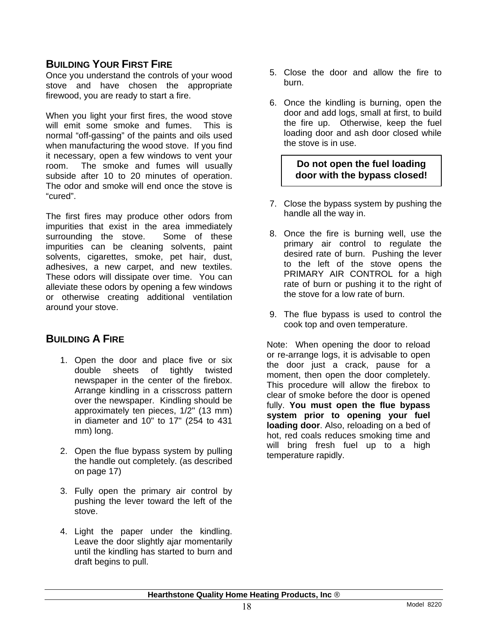# <span id="page-17-0"></span>**BUILDING YOUR FIRST FIRE**

Once you understand the controls of your wood stove and have chosen the appropriate firewood, you are ready to start a fire.

When you light your first fires, the wood stove will emit some smoke and fumes. This is normal "off-gassing" of the paints and oils used when manufacturing the wood stove. If you find it necessary, open a few windows to vent your room. The smoke and fumes will usually subside after 10 to 20 minutes of operation. The odor and smoke will end once the stove is "cured".

The first fires may produce other odors from impurities that exist in the area immediately surrounding the stove. Some of these impurities can be cleaning solvents, paint solvents, cigarettes, smoke, pet hair, dust, adhesives, a new carpet, and new textiles. These odors will dissipate over time. You can alleviate these odors by opening a few windows or otherwise creating additional ventilation around your stove.

# <span id="page-17-1"></span>**BUILDING A FIRE**

- 1. Open the door and place five or six double sheets of tightly twisted newspaper in the center of the firebox. Arrange kindling in a crisscross pattern over the newspaper. Kindling should be approximately ten pieces, 1/2" (13 mm) in diameter and 10" to 17" (254 to 431 mm) long.
- 2. Open the flue bypass system by pulling the handle out completely. (as described on page 17)
- 3. Fully open the primary air control by pushing the lever toward the left of the stove.
- 4. Light the paper under the kindling. Leave the door slightly ajar momentarily until the kindling has started to burn and draft begins to pull.
- 5. Close the door and allow the fire to burn.
- 6. Once the kindling is burning, open the door and add logs, small at first, to build the fire up. Otherwise, keep the fuel loading door and ash door closed while the stove is in use.

## **Do not open the fuel loading door with the bypass closed!**

- 7. Close the bypass system by pushing the handle all the way in.
- 8. Once the fire is burning well, use the primary air control to regulate the desired rate of burn. Pushing the lever to the left of the stove opens the PRIMARY AIR CONTROL for a high rate of burn or pushing it to the right of the stove for a low rate of burn.
- 9. The flue bypass is used to control the cook top and oven temperature.

Note: When opening the door to reload or re-arrange logs, it is advisable to open the door just a crack, pause for a moment, then open the door completely. This procedure will allow the firebox to clear of smoke before the door is opened fully. **You must open the flue bypass system prior to opening your fuel loading door**. Also, reloading on a bed of hot, red coals reduces smoking time and will bring fresh fuel up to a high temperature rapidly.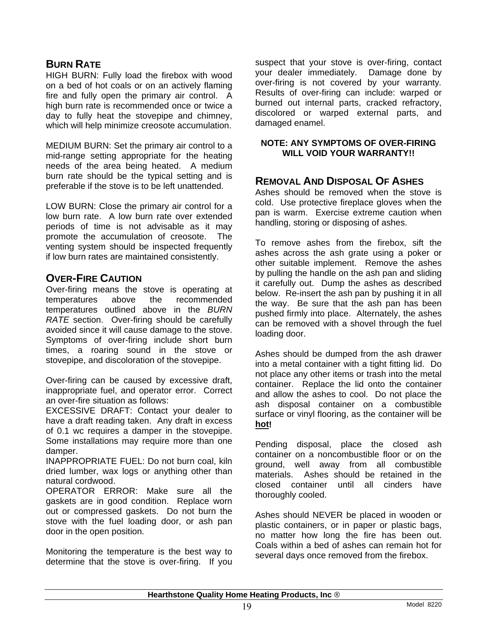# <span id="page-18-0"></span>**BURN RATE**

HIGH BURN: Fully load the firebox with wood on a bed of hot coals or on an actively flaming fire and fully open the primary air control. A high burn rate is recommended once or twice a day to fully heat the stovepipe and chimney, which will help minimize creosote accumulation.

MEDIUM BURN: Set the primary air control to a mid-range setting appropriate for the heating needs of the area being heated. A medium burn rate should be the typical setting and is preferable if the stove is to be left unattended.

<span id="page-18-2"></span>LOW BURN: Close the primary air control for a low burn rate. A low burn rate over extended periods of time is not advisable as it may promote the accumulation of creosote. The venting system should be inspected frequently if low burn rates are maintained consistently.

# <span id="page-18-1"></span>**OVER-FIRE CAUTION**

Over-firing means the stove is operating at temperatures above the recommended temperatures outlined above in the *BURN RATE* section. Over-firing should be carefully avoided since it will cause damage to the stove. Symptoms of over-firing include short burn times, a roaring sound in the stove or stovepipe, and discoloration of the stovepipe.

Over-firing can be caused by excessive draft, inappropriate fuel, and operator error. Correct an over-fire situation as follows:

EXCESSIVE DRAFT: Contact your dealer to have a draft reading taken. Any draft in excess of 0.1 wc requires a damper in the stovepipe. Some installations may require more than one damper.

INAPPROPRIATE FUEL: Do not burn coal, kiln dried lumber, wax logs or anything other than natural cordwood.

OPERATOR ERROR: Make sure all the gaskets are in good condition. Replace worn out or compressed gaskets. Do not burn the stove with the fuel loading door, or ash pan door in the open position.

Monitoring the temperature is the best way to determine that the stove is over-firing. If you suspect that your stove is over-firing, contact your dealer immediately.Damage done by over-firing is not covered by your warranty*.*  Results of over-firing can include: warped or burned out internal parts, cracked refractory, discolored or warped external parts, and damaged enamel.

#### **NOTE: ANY SYMPTOMS OF OVER-FIRING WILL VOID YOUR WARRANTY!!**

# **REMOVAL AND DISPOSAL OF ASHES**

Ashes should be removed when the stove is cold. Use protective fireplace gloves when the pan is warm. Exercise extreme caution when handling, storing or disposing of ashes.

To remove ashes from the firebox, sift the ashes across the ash grate using a poker or other suitable implement. Remove the ashes by pulling the handle on the ash pan and sliding it carefully out. Dump the ashes as described below. Re-insert the ash pan by pushing it in all the way. Be sure that the ash pan has been pushed firmly into place. Alternately, the ashes can be removed with a shovel through the fuel loading door.

Ashes should be dumped from the ash drawer into a metal container with a tight fitting lid. Do not place any other items or trash into the metal container. Replace the lid onto the container and allow the ashes to cool. Do not place the ash disposal container on a combustible surface or vinyl flooring, as the container will be **hot!**

Pending disposal, place the closed ash container on a noncombustible floor or on the ground, well away from all combustible materials. Ashes should be retained in the closed container until all cinders have thoroughly cooled.

Ashes should NEVER be placed in wooden or plastic containers, or in paper or plastic bags, no matter how long the fire has been out. Coals within a bed of ashes can remain hot for several days once removed from the firebox.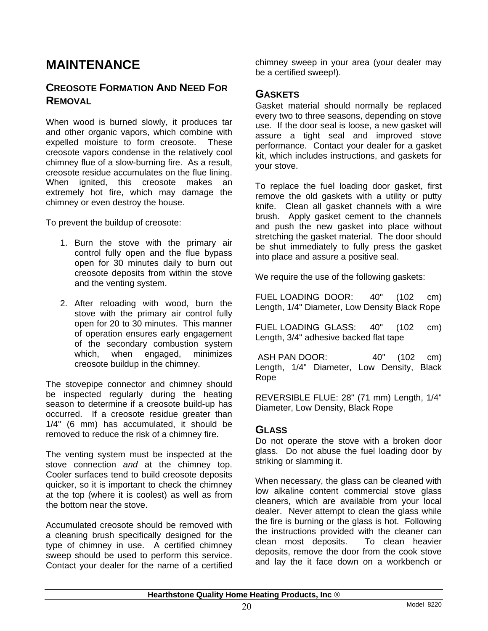# **MAINTENANCE**

# <span id="page-19-1"></span><span id="page-19-0"></span>**CREOSOTE FORMATION AND NEED FOR REMOVAL**

When wood is burned slowly, it produces tar and other organic vapors, which combine with expelled moisture to form creosote. These creosote vapors condense in the relatively cool chimney flue of a slow-burning fire. As a result, creosote residue accumulates on the flue lining. When ignited, this creosote makes an extremely hot fire, which may damage the chimney or even destroy the house.

To prevent the buildup of creosote:

- 1. Burn the stove with the primary air control fully open and the flue bypass open for 30 minutes daily to burn out creosote deposits from within the stove and the venting system.
- 2. After reloading with wood, burn the stove with the primary air control fully open for 20 to 30 minutes. This manner of operation ensures early engagement of the secondary combustion system which, when engaged, minimizes creosote buildup in the chimney.

The stovepipe connector and chimney should be inspected regularly during the heating season to determine if a creosote build-up has occurred. If a creosote residue greater than 1/4" (6 mm) has accumulated, it should be removed to reduce the risk of a chimney fire.

<span id="page-19-2"></span>The venting system must be inspected at the stove connection *and* at the chimney top. Cooler surfaces tend to build creosote deposits quicker, so it is important to check the chimney at the top (where it is coolest) as well as from the bottom near the stove.

Accumulated creosote should be removed with a cleaning brush specifically designed for the type of chimney in use. A certified chimney sweep should be used to perform this service. Contact your dealer for the name of a certified chimney sweep in your area (your dealer may be a certified sweep!).

# **GASKETS**

Gasket material should normally be replaced every two to three seasons, depending on stove use. If the door seal is loose, a new gasket will assure a tight seal and improved stove performance. Contact your dealer for a gasket kit, which includes instructions, and gaskets for your stove.

To replace the fuel loading door gasket, first remove the old gaskets with a utility or putty knife. Clean all gasket channels with a wire brush. Apply gasket cement to the channels and push the new gasket into place without stretching the gasket material. The door should be shut immediately to fully press the gasket into place and assure a positive seal.

We require the use of the following gaskets:

FUEL LOADING DOOR: 40" (102 cm) Length, 1/4" Diameter, Low Density Black Rope

FUEL LOADING GLASS: 40" (102 cm) Length, 3/4" adhesive backed flat tape

ASH PAN DOOR: 40" (102 cm) Length, 1/4" Diameter, Low Density, Black Rope

REVERSIBLE FLUE: 28" (71 mm) Length, 1/4" Diameter, Low Density, Black Rope

## **GLASS**

Do not operate the stove with a broken door glass. Do not abuse the fuel loading door by striking or slamming it.

When necessary, the glass can be cleaned with low alkaline content commercial stove glass cleaners, which are available from your local dealer. Never attempt to clean the glass while the fire is burning or the glass is hot. Following the instructions provided with the cleaner can<br>clean most deposits. To clean heavier clean most deposits. deposits, remove the door from the cook stove and lay the it face down on a workbench or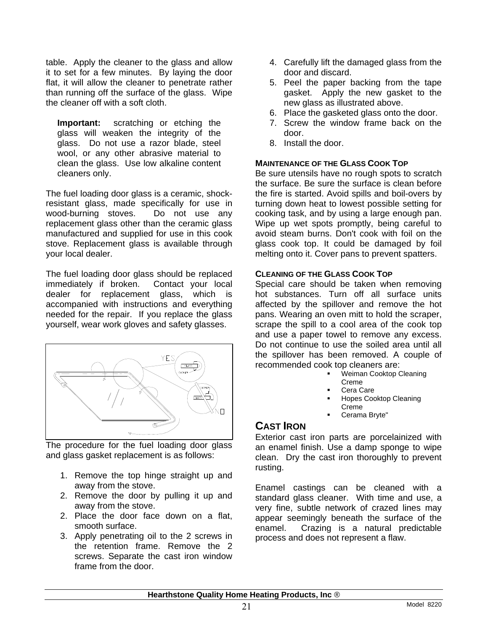table. Apply the cleaner to the glass and allow it to set for a few minutes. By laying the door flat, it will allow the cleaner to penetrate rather than running off the surface of the glass. Wipe the cleaner off with a soft cloth.

**Important:** scratching or etching the glass will weaken the integrity of the glass. Do not use a razor blade, steel wool, or any other abrasive material to clean the glass. Use low alkaline content cleaners only.

<span id="page-20-0"></span>The fuel loading door glass is a ceramic, shockresistant glass, made specifically for use in wood-burning stoves. Do not use any replacement glass other than the ceramic glass manufactured and supplied for use in this cook stove. Replacement glass is available through your local dealer.

<span id="page-20-1"></span>The fuel loading door glass should be replaced immediately if broken. Contact your local dealer for replacement glass, which is accompanied with instructions and everything needed for the repair. If you replace the glass yourself, wear work gloves and safety glasses.



<span id="page-20-2"></span>The procedure for the fuel loading door glass and glass gasket replacement is as follows:

- 1. Remove the top hinge straight up and away from the stove.
- 2. Remove the door by pulling it up and away from the stove.
- 2. Place the door face down on a flat, smooth surface.
- 3. Apply penetrating oil to the 2 screws in the retention frame. Remove the 2 screws. Separate the cast iron window frame from the door.
- 4. Carefully lift the damaged glass from the door and discard.
- 5. Peel the paper backing from the tape gasket. Apply the new gasket to the new glass as illustrated above.
- 6. Place the gasketed glass onto the door.
- 7. Screw the window frame back on the door.
- 8. Install the door.

# **MAINTENANCE OF THE GLASS COOK TOP**

Be sure utensils have no rough spots to scratch the surface. Be sure the surface is clean before the fire is started. Avoid spills and boil-overs by turning down heat to lowest possible setting for cooking task, and by using a large enough pan. Wipe up wet spots promptly, being careful to avoid steam burns. Don't cook with foil on the glass cook top. It could be damaged by foil melting onto it. Cover pans to prevent spatters.

# **CLEANING OF THE GLASS COOK TOP**

Special care should be taken when removing hot substances. Turn off all surface units affected by the spillover and remove the hot pans. Wearing an oven mitt to hold the scraper, scrape the spill to a cool area of the cook top and use a paper towel to remove any excess. Do not continue to use the soiled area until all the spillover has been removed. A couple of recommended cook top cleaners are:

- Weiman Cooktop Cleaning Creme
- Cera Care
- Hopes Cooktop Cleaning Creme
- Cerama Bryte"

# **CAST IRON**

Exterior cast iron parts are porcelainized with an enamel finish. Use a damp sponge to wipe clean. Dry the cast iron thoroughly to prevent rusting.

Enamel castings can be cleaned with a standard glass cleaner. With time and use, a very fine, subtle network of crazed lines may appear seemingly beneath the surface of the enamel. Crazing is a natural predictable process and does not represent a flaw.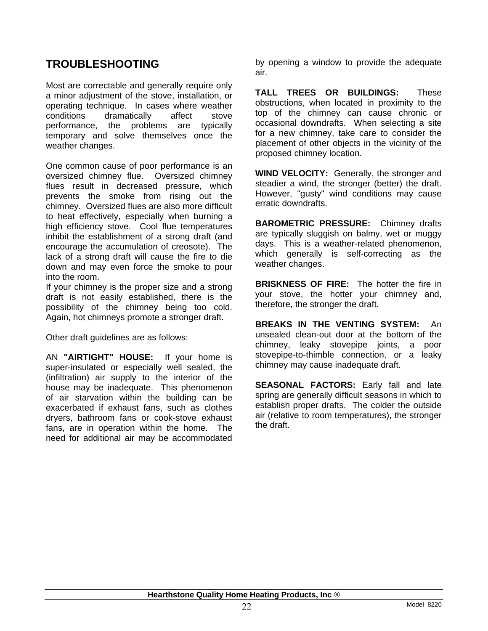# <span id="page-21-0"></span>**TROUBLESHOOTING**

Most are correctable and generally require only a minor adjustment of the stove, installation, or operating technique. In cases where weather conditions dramatically affect stove performance, the problems are typically temporary and solve themselves once the weather changes.

One common cause of poor performance is an oversized chimney flue. Oversized chimney flues result in decreased pressure, which prevents the smoke from rising out the chimney. Oversized flues are also more difficult to heat effectively, especially when burning a high efficiency stove. Cool flue temperatures inhibit the establishment of a strong draft (and encourage the accumulation of creosote). The lack of a strong draft will cause the fire to die down and may even force the smoke to pour into the room.

If your chimney is the proper size and a strong draft is not easily established, there is the possibility of the chimney being too cold. Again, hot chimneys promote a stronger draft.

Other draft guidelines are as follows:

AN **"AIRTIGHT" HOUSE:** If your home is super-insulated or especially well sealed, the (infiltration) air supply to the interior of the house may be inadequate. This phenomenon of air starvation within the building can be exacerbated if exhaust fans, such as clothes dryers, bathroom fans or cook-stove exhaust fans, are in operation within the home. The need for additional air may be accommodated by opening a window to provide the adequate air.

**TALL TREES OR BUILDINGS:** These obstructions, when located in proximity to the top of the chimney can cause chronic or occasional downdrafts. When selecting a site for a new chimney, take care to consider the placement of other objects in the vicinity of the proposed chimney location.

**WIND VELOCITY:** Generally, the stronger and steadier a wind, the stronger (better) the draft. However, "gusty" wind conditions may cause erratic downdrafts.

**BAROMETRIC PRESSURE:** Chimney drafts are typically sluggish on balmy, wet or muggy days. This is a weather-related phenomenon, which generally is self-correcting as the weather changes.

**BRISKNESS OF FIRE:** The hotter the fire in your stove, the hotter your chimney and, therefore, the stronger the draft.

**BREAKS IN THE VENTING SYSTEM:** An unsealed clean-out door at the bottom of the chimney, leaky stovepipe joints, a poor stovepipe-to-thimble connection, or a leaky chimney may cause inadequate draft.

**SEASONAL FACTORS:** Early fall and late spring are generally difficult seasons in which to establish proper drafts. The colder the outside air (relative to room temperatures), the stronger the draft.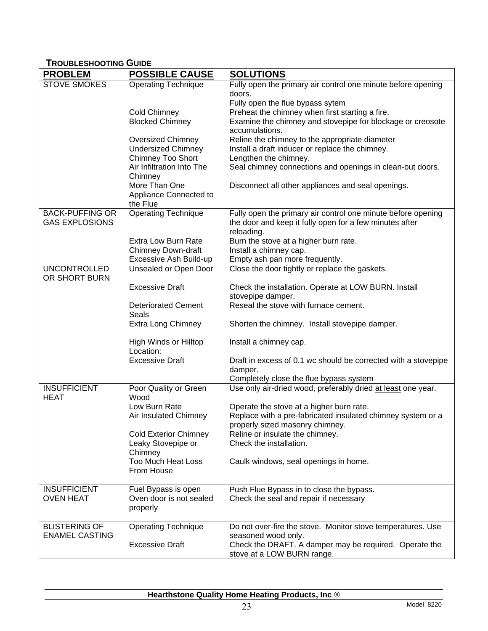# **TROUBLESHOOTING GUIDE**

<span id="page-22-0"></span>

| <b>PROBLEM</b>         | <b>POSSIBLE CAUSE</b>                               | <b>SOLUTIONS</b>                                                                     |
|------------------------|-----------------------------------------------------|--------------------------------------------------------------------------------------|
| <b>STOVE SMOKES</b>    | <b>Operating Technique</b>                          | Fully open the primary air control one minute before opening                         |
|                        |                                                     | doors.                                                                               |
|                        |                                                     | Fully open the flue bypass sytem                                                     |
|                        | Cold Chimney                                        | Preheat the chimney when first starting a fire.                                      |
|                        | <b>Blocked Chimney</b>                              | Examine the chimney and stovepipe for blockage or creosote                           |
|                        |                                                     | accumulations.                                                                       |
|                        | <b>Oversized Chimney</b>                            | Reline the chimney to the appropriate diameter                                       |
|                        | <b>Undersized Chimney</b><br>Chimney Too Short      | Install a draft inducer or replace the chimney.<br>Lengthen the chimney.             |
|                        | Air Infiltration Into The                           | Seal chimney connections and openings in clean-out doors.                            |
|                        | Chimney                                             |                                                                                      |
|                        | More Than One                                       | Disconnect all other appliances and seal openings.                                   |
|                        | Appliance Connected to                              |                                                                                      |
|                        | the Flue                                            |                                                                                      |
| <b>BACK-PUFFING OR</b> | Operating Technique                                 | Fully open the primary air control one minute before opening                         |
| <b>GAS EXPLOSIONS</b>  |                                                     | the door and keep it fully open for a few minutes after                              |
|                        |                                                     | reloading.                                                                           |
|                        | Extra Low Burn Rate                                 | Burn the stove at a higher burn rate.                                                |
|                        | <b>Chimney Down-draft</b><br>Excessive Ash Build-up | Install a chimney cap.<br>Empty ash pan more frequently.                             |
| <b>UNCONTROLLED</b>    | Unsealed or Open Door                               | Close the door tightly or replace the gaskets.                                       |
| OR SHORT BURN          |                                                     |                                                                                      |
|                        | <b>Excessive Draft</b>                              | Check the installation. Operate at LOW BURN. Install                                 |
|                        |                                                     | stovepipe damper.                                                                    |
|                        | <b>Deteriorated Cement</b>                          | Reseal the stove with furnace cement.                                                |
|                        | Seals                                               |                                                                                      |
|                        | <b>Extra Long Chimney</b>                           | Shorten the chimney. Install stovepipe damper.                                       |
|                        |                                                     |                                                                                      |
|                        | High Winds or Hilltop                               | Install a chimney cap.                                                               |
|                        | Location:<br><b>Excessive Draft</b>                 | Draft in excess of 0.1 wc should be corrected with a stovepipe                       |
|                        |                                                     | damper.                                                                              |
|                        |                                                     | Completely close the flue bypass system                                              |
| <b>INSUFFICIENT</b>    | Poor Quality or Green                               | Use only air-dried wood, preferably dried at least one year.                         |
| <b>HEAT</b>            | Wood                                                |                                                                                      |
|                        | Low Burn Rate                                       | Operate the stove at a higher burn rate.                                             |
|                        | Air Insulated Chimney                               | Replace with a pre-fabricated insulated chimney system or a                          |
|                        |                                                     | properly sized masonry chimney.                                                      |
|                        | <b>Cold Exterior Chimney</b>                        | Reline or insulate the chimney.                                                      |
|                        | Leaky Stovepipe or                                  | Check the installation.                                                              |
|                        | Chimney<br><b>Too Much Heat Loss</b>                | Caulk windows, seal openings in home.                                                |
|                        | From House                                          |                                                                                      |
|                        |                                                     |                                                                                      |
| <b>INSUFFICIENT</b>    | Fuel Bypass is open                                 | Push Flue Bypass in to close the bypass.                                             |
| <b>OVEN HEAT</b>       | Oven door is not sealed                             | Check the seal and repair if necessary                                               |
|                        | properly                                            |                                                                                      |
|                        |                                                     |                                                                                      |
| <b>BLISTERING OF</b>   | <b>Operating Technique</b>                          | Do not over-fire the stove. Monitor stove temperatures. Use                          |
| <b>ENAMEL CASTING</b>  |                                                     | seasoned wood only.                                                                  |
|                        | <b>Excessive Draft</b>                              | Check the DRAFT. A damper may be required. Operate the<br>stove at a LOW BURN range. |
|                        |                                                     |                                                                                      |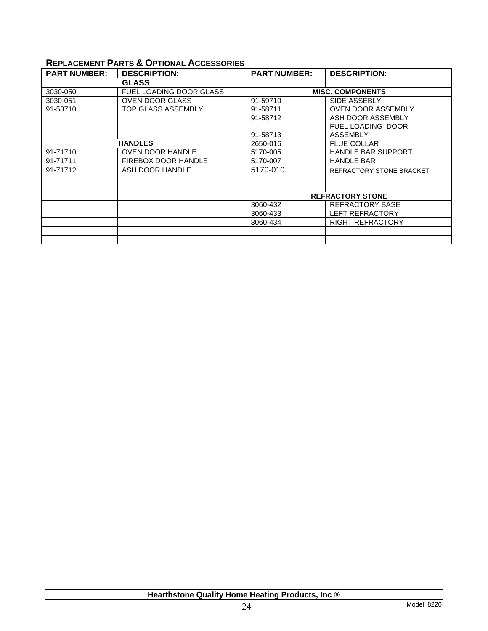## **REPLACEMENT PARTS & OPTIONAL ACCESSORIES**

<span id="page-23-0"></span>

| <b>PART NUMBER:</b> | <b>DESCRIPTION:</b>            | <b>PART NUMBER:</b>     | <b>DESCRIPTION:</b>       |  |  |
|---------------------|--------------------------------|-------------------------|---------------------------|--|--|
|                     | <b>GLASS</b>                   |                         |                           |  |  |
| 3030-050            | <b>FUEL LOADING DOOR GLASS</b> |                         | <b>MISC. COMPONENTS</b>   |  |  |
| 3030-051            | <b>OVEN DOOR GLASS</b>         | 91-59710                | SIDE ASSEBLY              |  |  |
| 91-58710            | <b>TOP GLASS ASSEMBLY</b>      | 91-58711                | <b>OVEN DOOR ASSEMBLY</b> |  |  |
|                     |                                | 91-58712                | ASH DOOR ASSEMBLY         |  |  |
|                     |                                |                         | <b>FUEL LOADING DOOR</b>  |  |  |
|                     |                                | 91-58713                | <b>ASSEMBLY</b>           |  |  |
|                     | <b>HANDLES</b>                 | 2650-016                | <b>FLUE COLLAR</b>        |  |  |
| 91-71710            | <b>OVEN DOOR HANDLE</b>        | 5170-005                | <b>HANDLE BAR SUPPORT</b> |  |  |
| 91-71711            | FIREBOX DOOR HANDLE            | 5170-007                | <b>HANDLE BAR</b>         |  |  |
| 91-71712            | ASH DOOR HANDLE                | 5170-010                | REFRACTORY STONE BRACKET  |  |  |
|                     |                                |                         |                           |  |  |
|                     |                                |                         |                           |  |  |
|                     |                                | <b>REFRACTORY STONE</b> |                           |  |  |
|                     |                                | 3060-432                | <b>REFRACTORY BASE</b>    |  |  |
|                     |                                | 3060-433                | LEFT REFRACTORY           |  |  |
|                     |                                | 3060-434                | <b>RIGHT REFRACTORY</b>   |  |  |
|                     |                                |                         |                           |  |  |
|                     |                                |                         |                           |  |  |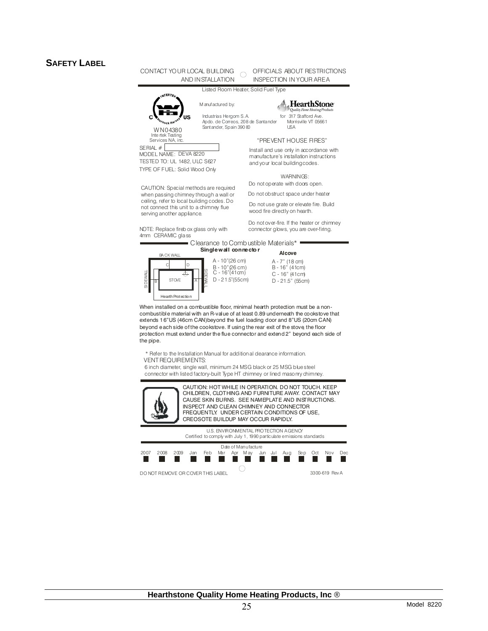#### <span id="page-24-0"></span>**SAFETY LABEL**



Date of Manufacture 2007 2008 2009 Jan Feb Mar Apr M ay Jun Jul Aug Sep Oct Nov Dec **In the contract of the contract of the contract of the contract of the contract of the contract of the contract of the contract of the contract of the contract of the contract of the contract of the contract of the contra** E ш **In the contract of the contract of the contract of the contract of the contract of the contract of the contract of the contract of the contract of the contract of the contract of the contract of the contract of the contra** ш . **The Second Second** ш DO NOT REMOVE OR COVER THIS LABEL 3300-619 Rev A